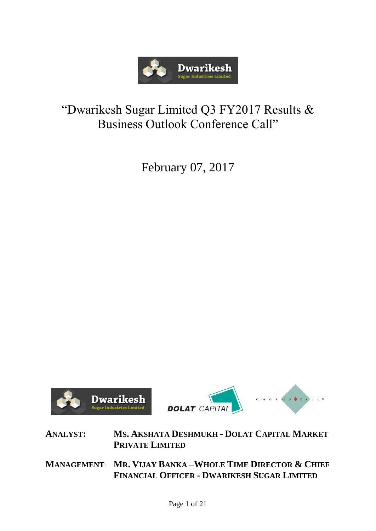

# "Dwarikesh Sugar Limited Q3 FY2017 Results & Business Outlook Conference Call"

February 07, 2017





**ANALYST: MS. AKSHATA DESHMUKH - DOLAT CAPITAL MARKET PRIVATE LIMITED**

**MANAGEMENT**: **MR. VIJAY BANKA –WHOLE TIME DIRECTOR & CHIEF FINANCIAL OFFICER - DWARIKESH SUGAR LIMITED**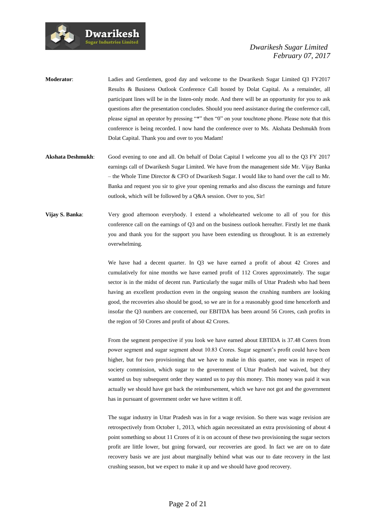

- **Moderator**: Ladies and Gentlemen, good day and welcome to the Dwarikesh Sugar Limited Q3 FY2017 Results & Business Outlook Conference Call hosted by Dolat Capital. As a remainder, all participant lines will be in the listen-only mode. And there will be an opportunity for you to ask questions after the presentation concludes. Should you need assistance during the conference call, please signal an operator by pressing "\*" then "0" on your touchtone phone. Please note that this conference is being recorded. I now hand the conference over to Ms. Akshata Deshmukh from Dolat Capital. Thank you and over to you Madam!
- **Akshata Deshmukh**: Good evening to one and all. On behalf of Dolat Capital I welcome you all to the Q3 FY 2017 earnings call of Dwarikesh Sugar Limited. We have from the management side Mr. Vijay Banka – the Whole Time Director & CFO of Dwarikesh Sugar. I would like to hand over the call to Mr. Banka and request you sir to give your opening remarks and also discuss the earnings and future outlook, which will be followed by a Q&A session. Over to you, Sir!
- **Vijay S. Banka**: Very good afternoon everybody. I extend a wholehearted welcome to all of you for this conference call on the earnings of Q3 and on the business outlook hereafter. Firstly let me thank you and thank you for the support you have been extending us throughout. It is an extremely overwhelming.

We have had a decent quarter. In Q3 we have earned a profit of about 42 Crores and cumulatively for nine months we have earned profit of 112 Crores approximately. The sugar sector is in the midst of decent run. Particularly the sugar mills of Uttar Pradesh who had been having an excellent production even in the ongoing season the crushing numbers are looking good, the recoveries also should be good, so we are in for a reasonably good time henceforth and insofar the Q3 numbers are concerned, our EBITDA has been around 56 Crores, cash profits in the region of 50 Crores and profit of about 42 Crores.

From the segment perspective if you look we have earned about EBTIDA is 37.48 Corers from power segment and sugar segment about 10.83 Crores. Sugar segment's profit could have been higher, but for two provisioning that we have to make in this quarter, one was in respect of society commission, which sugar to the government of Uttar Pradesh had waived, but they wanted us buy subsequent order they wanted us to pay this money. This money was paid it was actually we should have got back the reimbursement, which we have not got and the government has in pursuant of government order we have written it off.

The sugar industry in Uttar Pradesh was in for a wage revision. So there was wage revision are retrospectively from October 1, 2013, which again necessitated an extra provisioning of about 4 point something so about 11 Crores of it is on account of these two provisioning the sugar sectors profit are little lower, but going forward, our recoveries are good. In fact we are on to date recovery basis we are just about marginally behind what was our to date recovery in the last crushing season, but we expect to make it up and we should have good recovery.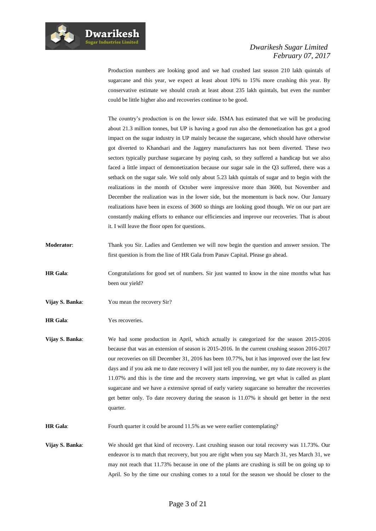Production numbers are looking good and we had crushed last season 210 lakh quintals of sugarcane and this year, we expect at least about 10% to 15% more crushing this year. By conservative estimate we should crush at least about 235 lakh quintals, but even the number could be little higher also and recoveries continue to be good.

The country's production is on the lower side. ISMA has estimated that we will be producing about 21.3 million tonnes, but UP is having a good run also the demonetization has got a good impact on the sugar industry in UP mainly because the sugarcane, which should have otherwise got diverted to Khandsari and the Jaggery manufacturers has not been diverted. These two sectors typically purchase sugarcane by paying cash, so they suffered a handicap but we also faced a little impact of demonetization because our sugar sale in the Q3 suffered, there was a setback on the sugar sale. We sold only about 5.23 lakh quintals of sugar and to begin with the realizations in the month of October were impressive more than 3600, but November and December the realization was in the lower side, but the momentum is back now. Our January realizations have been in excess of 3600 so things are looking good though. We on our part are constantly making efforts to enhance our efficiencies and improve our recoveries. That is about it. I will leave the floor open for questions.

- **Moderator**: Thank you Sir. Ladies and Gentlemen we will now begin the question and answer session. The first question is from the line of HR Gala from Panav Capital. Please go ahead.
- **HR Gala**: Congratulations for good set of numbers. Sir just wanted to know in the nine months what has been our yield?
- **Vijay S. Banka**: You mean the recovery Sir?
- **HR Gala:** Yes recoveries.
- **Vijay S. Banka**: We had some production in April, which actually is categorized for the season 2015-2016 because that was an extension of season is 2015-2016. In the current crushing season 2016-2017 our recoveries on till December 31, 2016 has been 10.77%, but it has improved over the last few days and if you ask me to date recovery I will just tell you the number, my to date recovery is the 11.07% and this is the time and the recovery starts improving, we get what is called as plant sugarcane and we have a extensive spread of early variety sugarcane so hereafter the recoveries get better only. To date recovery during the season is 11.07% it should get better in the next quarter.
- **HR Gala:** Fourth quarter it could be around 11.5% as we were earlier contemplating?
- **Vijay S. Banka**: We should get that kind of recovery. Last crushing season our total recovery was 11.73%. Our endeavor is to match that recovery, but you are right when you say March 31, yes March 31, we may not reach that 11.73% because in one of the plants are crushing is still be on going up to April. So by the time our crushing comes to a total for the season we should be closer to the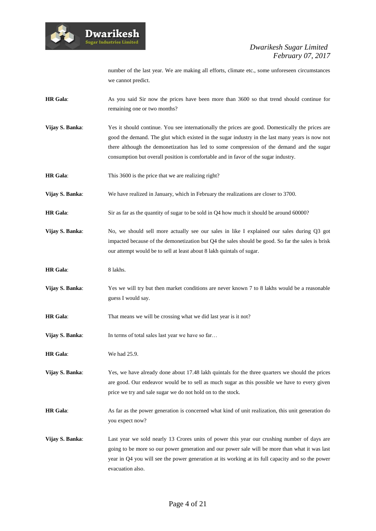

number of the last year. We are making all efforts, climate etc., some unforeseen circumstances we cannot predict.

- **HR Gala:** As you said Sir now the prices have been more than 3600 so that trend should continue for remaining one or two months?
- **Vijay S. Banka:** Yes it should continue. You see internationally the prices are good. Domestically the prices are good the demand. The glut which existed in the sugar industry in the last many years is now not there although the demonetization has led to some compression of the demand and the sugar consumption but overall position is comfortable and in favor of the sugar industry.
- **HR Gala:** This 3600 is the price that we are realizing right?

**Dwarikesh** .<br>Sugar Industries Limited

**Vijay S. Banka:** We have realized in January, which in February the realizations are closer to 3700.

- **HR Gala:** Sir as far as the quantity of sugar to be sold in Q4 how much it should be around 60000?
- **Vijay S. Banka:** No, we should sell more actually see our sales in like I explained our sales during Q3 got impacted because of the demonetization but Q4 the sales should be good. So far the sales is brisk our attempt would be to sell at least about 8 lakh quintals of sugar.
- **HR Gala**: 8 lakhs.
- **Vijay S. Banka:** Yes we will try but then market conditions are never known 7 to 8 lakhs would be a reasonable guess I would say.
- **HR Gala:** That means we will be crossing what we did last year is it not?
- **Vijay S. Banka:** In terms of total sales last year we have so far...
- **HR Gala:** We had 25.9.
- **Vijay S. Banka:** Yes, we have already done about 17.48 lakh quintals for the three quarters we should the prices are good. Our endeavor would be to sell as much sugar as this possible we have to every given price we try and sale sugar we do not hold on to the stock.
- **HR Gala**: As far as the power generation is concerned what kind of unit realization, this unit generation do you expect now?
- **Vijay S. Banka**: Last year we sold nearly 13 Crores units of power this year our crushing number of days are going to be more so our power generation and our power sale will be more than what it was last year in Q4 you will see the power generation at its working at its full capacity and so the power evacuation also.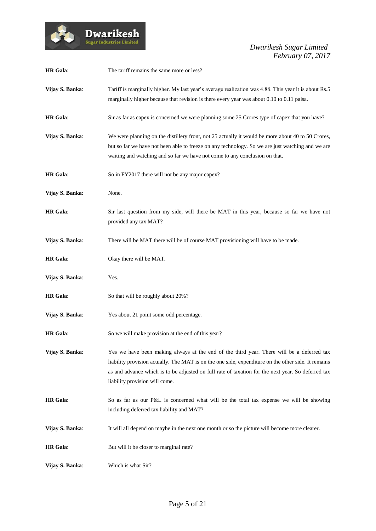

| <b>HR</b> Gala: | The tariff remains the same more or less?                                                                                                                                                                                                                                                                                                |
|-----------------|------------------------------------------------------------------------------------------------------------------------------------------------------------------------------------------------------------------------------------------------------------------------------------------------------------------------------------------|
| Vijay S. Banka: | Tariff is marginally higher. My last year's average realization was 4.88. This year it is about Rs.5<br>marginally higher because that revision is there every year was about 0.10 to 0.11 paisa.                                                                                                                                        |
| <b>HR</b> Gala: | Sir as far as capex is concerned we were planning some 25 Crores type of capex that you have?                                                                                                                                                                                                                                            |
| Vijay S. Banka: | We were planning on the distillery front, not 25 actually it would be more about 40 to 50 Crores,<br>but so far we have not been able to freeze on any technology. So we are just watching and we are<br>waiting and watching and so far we have not come to any conclusion on that.                                                     |
| <b>HR</b> Gala: | So in FY2017 there will not be any major capex?                                                                                                                                                                                                                                                                                          |
| Vijay S. Banka: | None.                                                                                                                                                                                                                                                                                                                                    |
| <b>HR</b> Gala: | Sir last question from my side, will there be MAT in this year, because so far we have not<br>provided any tax MAT?                                                                                                                                                                                                                      |
| Vijay S. Banka: | There will be MAT there will be of course MAT provisioning will have to be made.                                                                                                                                                                                                                                                         |
| <b>HR</b> Gala: | Okay there will be MAT.                                                                                                                                                                                                                                                                                                                  |
| Vijay S. Banka: | Yes.                                                                                                                                                                                                                                                                                                                                     |
| <b>HR</b> Gala: | So that will be roughly about 20%?                                                                                                                                                                                                                                                                                                       |
| Vijay S. Banka: | Yes about 21 point some odd percentage.                                                                                                                                                                                                                                                                                                  |
| <b>HR</b> Gala: | So we will make provision at the end of this year?                                                                                                                                                                                                                                                                                       |
| Vijay S. Banka: | Yes we have been making always at the end of the third year. There will be a deferred tax<br>liability provision actually. The MAT is on the one side, expenditure on the other side. It remains<br>as and advance which is to be adjusted on full rate of taxation for the next year. So deferred tax<br>liability provision will come. |
| <b>HR</b> Gala: | So as far as our P&L is concerned what will be the total tax expense we will be showing<br>including deferred tax liability and MAT?                                                                                                                                                                                                     |
| Vijay S. Banka: | It will all depend on maybe in the next one month or so the picture will become more clearer.                                                                                                                                                                                                                                            |
| <b>HR</b> Gala: | But will it be closer to marginal rate?                                                                                                                                                                                                                                                                                                  |
| Vijay S. Banka: | Which is what Sir?                                                                                                                                                                                                                                                                                                                       |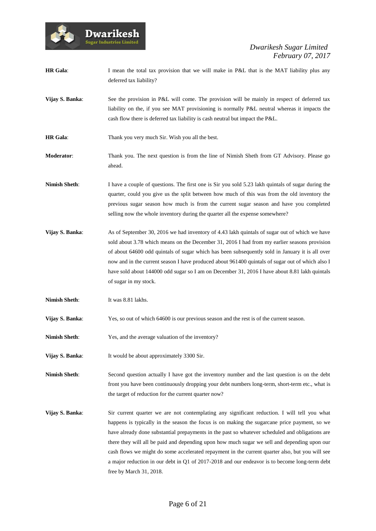

**HR Gala:** I mean the total tax provision that we will make in P&L that is the MAT liability plus any deferred tax liability?

- **Vijay S. Banka:** See the provision in P&L will come. The provision will be mainly in respect of deferred tax liability on the, if you see MAT provisioning is normally P&L neutral whereas it impacts the cash flow there is deferred tax liability is cash neutral but impact the P&L.
- **HR Gala:** Thank you very much Sir. Wish you all the best.
- **Moderator**: Thank you. The next question is from the line of Nimish Sheth from GT Advisory. Please go ahead.
- **Nimish Sheth**: I have a couple of questions. The first one is Sir you sold 5.23 lakh quintals of sugar during the quarter, could you give us the split between how much of this was from the old inventory the previous sugar season how much is from the current sugar season and have you completed selling now the whole inventory during the quarter all the expense somewhere?
- **Vijay S. Banka:** As of September 30, 2016 we had inventory of 4.43 lakh quintals of sugar out of which we have sold about 3.78 which means on the December 31, 2016 I had from my earlier seasons provision of about 64600 odd quintals of sugar which has been subsequently sold in January it is all over now and in the current season I have produced about 961400 quintals of sugar out of which also I have sold about 144000 odd sugar so I am on December 31, 2016 I have about 8.81 lakh quintals of sugar in my stock.
- **Nimish Sheth**: It was 8.81 lakhs.
- **Vijay S. Banka:** Yes, so out of which 64600 is our previous season and the rest is of the current season.
- **Nimish Sheth:** Yes, and the average valuation of the inventory?
- **Vijay S. Banka:** It would be about approximately 3300 Sir.

**Nimish Sheth**: Second question actually I have got the inventory number and the last question is on the debt front you have been continuously dropping your debt numbers long-term, short-term etc., what is the target of reduction for the current quarter now?

**Vijay S. Banka:** Sir current quarter we are not contemplating any significant reduction. I will tell you what happens is typically in the season the focus is on making the sugarcane price payment, so we have already done substantial prepayments in the past so whatever scheduled and obligations are there they will all be paid and depending upon how much sugar we sell and depending upon our cash flows we might do some accelerated repayment in the current quarter also, but you will see a major reduction in our debt in Q1 of 2017-2018 and our endeavor is to become long-term debt free by March 31, 2018.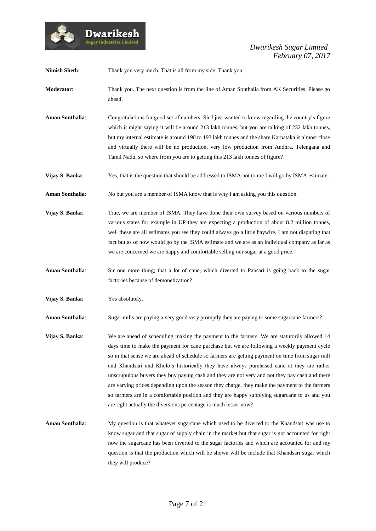

**Nimish Sheth:** Thank you very much. That is all from my side. Thank you.

- **Moderator**: Thank you. The next question is from the line of Aman Sonthalia from AK Securities. Please go ahead.
- **Aman Sonthalia**: Congratulations for good set of numbers. Sir I just wanted to know regarding the country's figure which it might saying it will be around 213 lakh tonnes, but you are talking of 232 lakh tonnes, but my internal estimate is around 190 to 193 lakh tonnes and the share Karnataka is almost close and virtually there will be no production, very low production from Andhra, Telengana and Tamil Nadu, so where from you are to getting this 213 lakh tonnes of figure?
- **Vijay S. Banka:** Yes, that is the question that should be addressed to ISMA not to me I will go by ISMA estimate.
- **Aman Sonthalia**: No but you are a member of ISMA know that is why I am asking you this question.
- **Vijay S. Banka**: True, we are member of ISMA. They have done their own survey based on various numbers of various states for example in UP they are expecting a production of about 8.2 million tonnes, well these are all estimates you see they could always go a little haywire. I am not disputing that fact but as of now would go by the ISMA estimate and we are as an individual company as far as we are concerned we are happy and comfortable selling our sugar at a good price.
- **Aman Sonthalia**: Sir one more thing; that a lot of cane, which diverted to Pansari is going back to the sugar factories because of demonetization?
- **Vijay S. Banka**: Yes absolutely.

**Aman Sonthalia:** Sugar mills are paying a very good very promptly they are paying to some sugarcane farmers?

- **Vijay S. Banka:** We are ahead of scheduling making the payment to the farmers. We are statutorily allowed 14 days time to make the payment for cane purchase but we are following a weekly payment cycle so in that sense we are ahead of schedule so farmers are getting payment on time from sugar mill and Khandsari and Kholo's historically they have always purchased cane at they are rather unscrupulous buyers they buy paying cash and they are not very and not they pay cash and there are varying prices depending upon the season they charge, they make the payment to the farmers so farmers are in a comfortable position and they are happy supplying sugarcane to us and you are right actually the diversions percentage is much lesser now?
- **Aman Sonthalia**: My question is that whatever sugarcane which used to be diverted to the Khandsari was use to know sugar and that sugar of supply chain in the market but that sugar is not accounted for right now the sugarcane has been diverted to the sugar factories and which are accounted for and my question is that the production which will be shown will be include that Khandsari sugar which they will produce?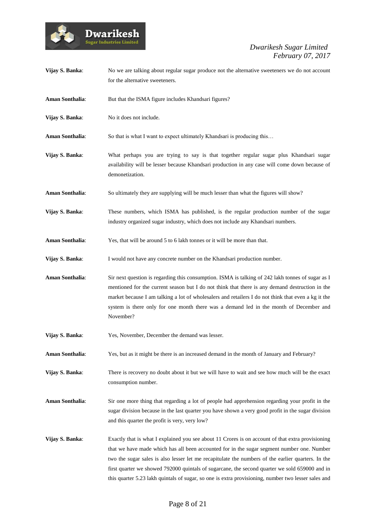

| Vijay S. Banka:        | No we are talking about regular sugar produce not the alternative sweeteners we do not account<br>for the alternative sweeteners.                                                                                                                                                                                                                                                                                                                                                                              |
|------------------------|----------------------------------------------------------------------------------------------------------------------------------------------------------------------------------------------------------------------------------------------------------------------------------------------------------------------------------------------------------------------------------------------------------------------------------------------------------------------------------------------------------------|
| Aman Sonthalia:        | But that the ISMA figure includes Khandsari figures?                                                                                                                                                                                                                                                                                                                                                                                                                                                           |
| Vijay S. Banka:        | No it does not include.                                                                                                                                                                                                                                                                                                                                                                                                                                                                                        |
| <b>Aman Sonthalia:</b> | So that is what I want to expect ultimately Khandsari is producing this                                                                                                                                                                                                                                                                                                                                                                                                                                        |
| Vijay S. Banka:        | What perhaps you are trying to say is that together regular sugar plus Khandsari sugar<br>availability will be lesser because Khandsari production in any case will come down because of<br>demonetization.                                                                                                                                                                                                                                                                                                    |
| Aman Sonthalia:        | So ultimately they are supplying will be much lesser than what the figures will show?                                                                                                                                                                                                                                                                                                                                                                                                                          |
| Vijay S. Banka:        | These numbers, which ISMA has published, is the regular production number of the sugar<br>industry organized sugar industry, which does not include any Khandsari numbers.                                                                                                                                                                                                                                                                                                                                     |
| Aman Sonthalia:        | Yes, that will be around 5 to 6 lakh tonnes or it will be more than that.                                                                                                                                                                                                                                                                                                                                                                                                                                      |
| Vijay S. Banka:        | I would not have any concrete number on the Khandsari production number.                                                                                                                                                                                                                                                                                                                                                                                                                                       |
| Aman Sonthalia:        | Sir next question is regarding this consumption. ISMA is talking of 242 lakh tonnes of sugar as I<br>mentioned for the current season but I do not think that there is any demand destruction in the<br>market because I am talking a lot of wholesalers and retailers I do not think that even a kg it the<br>system is there only for one month there was a demand led in the month of December and<br>November?                                                                                             |
| Vijay S. Banka:        | Yes, November, December the demand was lesser.                                                                                                                                                                                                                                                                                                                                                                                                                                                                 |
| Aman Sonthalia:        | Yes, but as it might be there is an increased demand in the month of January and February?                                                                                                                                                                                                                                                                                                                                                                                                                     |
| Vijay S. Banka:        | There is recovery no doubt about it but we will have to wait and see how much will be the exact<br>consumption number.                                                                                                                                                                                                                                                                                                                                                                                         |
| Aman Sonthalia:        | Sir one more thing that regarding a lot of people had apprehension regarding your profit in the<br>sugar division because in the last quarter you have shown a very good profit in the sugar division<br>and this quarter the profit is very, very low?                                                                                                                                                                                                                                                        |
| Vijay S. Banka:        | Exactly that is what I explained you see about 11 Crores is on account of that extra provisioning<br>that we have made which has all been accounted for in the sugar segment number one. Number<br>two the sugar sales is also lesser let me recapitulate the numbers of the earlier quarters. In the<br>first quarter we showed 792000 quintals of sugarcane, the second quarter we sold 659000 and in<br>this quarter 5.23 lakh quintals of sugar, so one is extra provisioning, number two lesser sales and |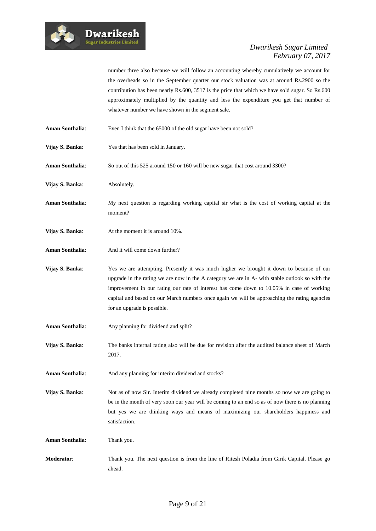

number three also because we will follow an accounting whereby cumulatively we account for the overheads so in the September quarter our stock valuation was at around Rs.2900 so the contribution has been nearly Rs.600, 3517 is the price that which we have sold sugar. So Rs.600 approximately multiplied by the quantity and less the expenditure you get that number of whatever number we have shown in the segment sale.

- Aman Sonthalia: Even I think that the 65000 of the old sugar have been not sold?
- **Vijay S. Banka:** Yes that has been sold in January.
- **Aman Sonthalia**: So out of this 525 around 150 or 160 will be new sugar that cost around 3300?
- **Vijay S. Banka:** Absolutely.
- **Aman Sonthalia**: My next question is regarding working capital sir what is the cost of working capital at the moment?
- **Vijay S. Banka:** At the moment it is around 10%.
- Aman Sonthalia: And it will come down further?
- **Vijay S. Banka:** Yes we are attempting. Presently it was much higher we brought it down to because of our upgrade in the rating we are now in the A category we are in A- with stable outlook so with the improvement in our rating our rate of interest has come down to 10.05% in case of working capital and based on our March numbers once again we will be approaching the rating agencies for an upgrade is possible.
- Aman Sonthalia: Any planning for dividend and split?
- **Vijay S. Banka**: The banks internal rating also will be due for revision after the audited balance sheet of March 2017.
- Aman Sonthalia: And any planning for interim dividend and stocks?
- **Vijay S. Banka:** Not as of now Sir. Interim dividend we already completed nine months so now we are going to be in the month of very soon our year will be coming to an end so as of now there is no planning but yes we are thinking ways and means of maximizing our shareholders happiness and satisfaction.
- **Aman Sonthalia**: Thank you.
- **Moderator**: Thank you. The next question is from the line of Ritesh Poladia from Girik Capital. Please go ahead.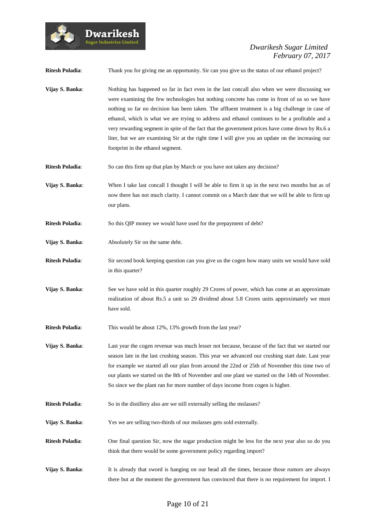

| <b>Ritesh Poladia:</b> | Thank you for giving me an opportunity. Sir can you give us the status of our ethanol project?                                                                                                                                                                                                                                                                                                                                                                                                                                                                                                                                                |
|------------------------|-----------------------------------------------------------------------------------------------------------------------------------------------------------------------------------------------------------------------------------------------------------------------------------------------------------------------------------------------------------------------------------------------------------------------------------------------------------------------------------------------------------------------------------------------------------------------------------------------------------------------------------------------|
| Vijay S. Banka:        | Nothing has happened so far in fact even in the last concall also when we were discussing we<br>were examining the few technologies but nothing concrete has come in front of us so we have<br>nothing so far no decision has been taken. The affluent treatment is a big challenge in case of<br>ethanol, which is what we are trying to address and ethanol continues to be a profitable and a<br>very rewarding segment in spite of the fact that the government prices have come down by Rs.6 a<br>liter, but we are examining Sir at the right time I will give you an update on the increasing our<br>footprint in the ethanol segment. |
| <b>Ritesh Poladia:</b> | So can this firm up that plan by March or you have not taken any decision?                                                                                                                                                                                                                                                                                                                                                                                                                                                                                                                                                                    |
| Vijay S. Banka:        | When I take last concall I thought I will be able to firm it up in the next two months but as of<br>now there has not much clarity. I cannot commit on a March date that we will be able to firm up<br>our plans.                                                                                                                                                                                                                                                                                                                                                                                                                             |
| <b>Ritesh Poladia:</b> | So this QIP money we would have used for the prepayment of debt?                                                                                                                                                                                                                                                                                                                                                                                                                                                                                                                                                                              |
| Vijay S. Banka:        | Absolutely Sir on the same debt.                                                                                                                                                                                                                                                                                                                                                                                                                                                                                                                                                                                                              |
| <b>Ritesh Poladia:</b> | Sir second book keeping question can you give us the cogen how many units we would have sold<br>in this quarter?                                                                                                                                                                                                                                                                                                                                                                                                                                                                                                                              |
| Vijay S. Banka:        | See we have sold in this quarter roughly 29 Crores of power, which has come at an approximate<br>realization of about Rs.5 a unit so 29 dividend about 5.8 Crores units approximately we must<br>have sold.                                                                                                                                                                                                                                                                                                                                                                                                                                   |
| <b>Ritesh Poladia:</b> | This would be about 12%, 13% growth from the last year?                                                                                                                                                                                                                                                                                                                                                                                                                                                                                                                                                                                       |
| Vijay S. Banka:        | Last year the cogen revenue was much lesser not because, because of the fact that we started our<br>season late in the last crushing season. This year we advanced our crushing start date. Last year<br>for example we started all our plan from around the 22nd or 25th of November this time two of<br>our plants we started on the 8th of November and one plant we started on the 14th of November.<br>So since we the plant ran for more number of days income from cogen is higher.                                                                                                                                                    |
| <b>Ritesh Poladia:</b> | So in the distillery also are we still externally selling the molasses?                                                                                                                                                                                                                                                                                                                                                                                                                                                                                                                                                                       |
| Vijay S. Banka:        | Yes we are selling two-thirds of our molasses gets sold externally.                                                                                                                                                                                                                                                                                                                                                                                                                                                                                                                                                                           |
| <b>Ritesh Poladia:</b> | One final question Sir, now the sugar production might be less for the next year also so do you<br>think that there would be some government policy regarding import?                                                                                                                                                                                                                                                                                                                                                                                                                                                                         |
| Vijay S. Banka:        | It is already that sword is hanging on our head all the times, because those rumors are always<br>there but at the moment the government has convinced that there is no requirement for import. I                                                                                                                                                                                                                                                                                                                                                                                                                                             |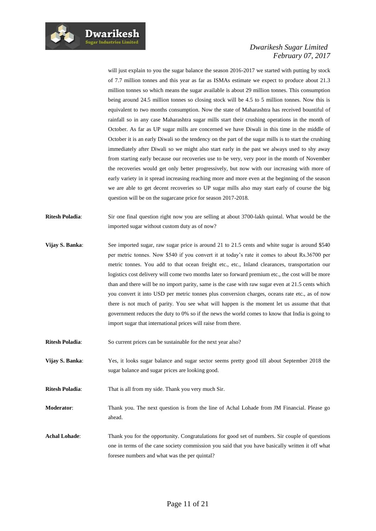

will just explain to you the sugar balance the season 2016-2017 we started with putting by stock of 7.7 million tonnes and this year as far as ISMAs estimate we expect to produce about 21.3 million tonnes so which means the sugar available is about 29 million tonnes. This consumption being around 24.5 million tonnes so closing stock will be 4.5 to 5 million tonnes. Now this is equivalent to two months consumption. Now the state of Maharashtra has received bountiful of rainfall so in any case Maharashtra sugar mills start their crushing operations in the month of October. As far as UP sugar mills are concerned we have Diwali in this time in the middle of October it is an early Diwali so the tendency on the part of the sugar mills is to start the crushing immediately after Diwali so we might also start early in the past we always used to shy away from starting early because our recoveries use to be very, very poor in the month of November the recoveries would get only better progressively, but now with our increasing with more of early variety in it spread increasing reaching more and more even at the beginning of the season we are able to get decent recoveries so UP sugar mills also may start early of course the big question will be on the sugarcane price for season 2017-2018.

- **Ritesh Poladia**: Sir one final question right now you are selling at about 3700-lakh quintal. What would be the imported sugar without custom duty as of now?
- **Vijay S. Banka:** See imported sugar, raw sugar price is around 21 to 21.5 cents and white sugar is around \$540 per metric tonnes. Now \$540 if you convert it at today's rate it comes to about Rs.36700 per metric tonnes. You add to that ocean freight etc., etc., Inland clearances, transportation our logistics cost delivery will come two months later so forward premium etc., the cost will be more than and there will be no import parity, same is the case with raw sugar even at 21.5 cents which you convert it into USD per metric tonnes plus conversion charges, oceans rate etc., as of now there is not much of parity. You see what will happen is the moment let us assume that that government reduces the duty to 0% so if the news the world comes to know that India is going to import sugar that international prices will raise from there.
- **Ritesh Poladia:** So current prices can be sustainable for the next year also?
- **Vijay S. Banka**: Yes, it looks sugar balance and sugar sector seems pretty good till about September 2018 the sugar balance and sugar prices are looking good.

**Ritesh Poladia:** That is all from my side. Thank you very much Sir.

**Moderator**: Thank you. The next question is from the line of Achal Lohade from JM Financial. Please go ahead.

**Achal Lohade**: Thank you for the opportunity. Congratulations for good set of numbers. Sir couple of questions one in terms of the cane society commission you said that you have basically written it off what foresee numbers and what was the per quintal?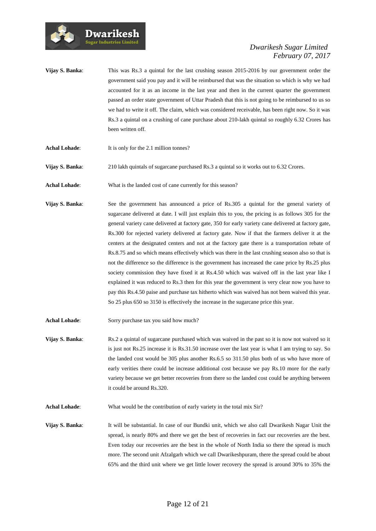

- **Vijay S. Banka:** This was Rs.3 a quintal for the last crushing season 2015-2016 by our government order the government said you pay and it will be reimbursed that was the situation so which is why we had accounted for it as an income in the last year and then in the current quarter the government passed an order state government of Uttar Pradesh that this is not going to be reimbursed to us so we had to write it off. The claim, which was considered receivable, has been right now. So it was Rs.3 a quintal on a crushing of cane purchase about 210-lakh quintal so roughly 6.32 Crores has been written off.
- Achal Lohade: It is only for the 2.1 million tonnes?

**Dwarikesh** .<br>Sugar Industries Limited

- **Vijay S. Banka:** 210 lakh quintals of sugarcane purchased Rs.3 a quintal so it works out to 6.32 Crores.
- Achal Lohade: What is the landed cost of cane currently for this season?
- **Vijay S. Banka:** See the government has announced a price of Rs.305 a quintal for the general variety of sugarcane delivered at date. I will just explain this to you, the pricing is as follows 305 for the general variety cane delivered at factory gate, 350 for early variety cane delivered at factory gate, Rs.300 for rejected variety delivered at factory gate. Now if that the farmers deliver it at the centers at the designated centers and not at the factory gate there is a transportation rebate of Rs.8.75 and so which means effectively which was there in the last crushing season also so that is not the difference so the difference is the government has increased the cane price by Rs.25 plus society commission they have fixed it at Rs.4.50 which was waived off in the last year like I explained it was reduced to Rs.3 then for this year the government is very clear now you have to pay this Rs.4.50 paise and purchase tax hitherto which was waived has not been waived this year. So 25 plus 650 so 3150 is effectively the increase in the sugarcane price this year.
- Achal Lohade: Sorry purchase tax you said how much?
- **Vijay S. Banka:** Rs.2 a quintal of sugarcane purchased which was waived in the past so it is now not waived so it is just not Rs.25 increase it is Rs.31.50 increase over the last year is what I am trying to say. So the landed cost would be 305 plus another Rs.6.5 so 311.50 plus both of us who have more of early verities there could be increase additional cost because we pay Rs.10 more for the early variety because we get better recoveries from there so the landed cost could be anything between it could be around Rs.320.
- **Achal Lohade**: What would be the contribution of early variety in the total mix Sir?
- **Vijay S. Banka**: It will be substantial. In case of our Bundki unit, which we also call Dwarikesh Nagar Unit the spread, is nearly 80% and there we get the best of recoveries in fact our recoveries are the best. Even today our recoveries are the best in the whole of North India so there the spread is much more. The second unit Afzalgarh which we call Dwarikeshpuram, there the spread could be about 65% and the third unit where we get little lower recovery the spread is around 30% to 35% the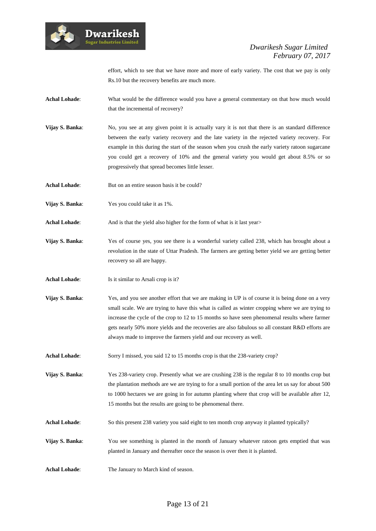

effort, which to see that we have more and more of early variety. The cost that we pay is only Rs.10 but the recovery benefits are much more.

- **Achal Lohade**: What would be the difference would you have a general commentary on that how much would that the incremental of recovery?
- **Vijay S. Banka:** No, you see at any given point it is actually vary it is not that there is an standard difference between the early variety recovery and the late variety in the rejected variety recovery. For example in this during the start of the season when you crush the early variety ratoon sugarcane you could get a recovery of 10% and the general variety you would get about 8.5% or so progressively that spread becomes little lesser.
- Achal Lohade: But on an entire season basis it be could?
- **Vijay S. Banka**: Yes you could take it as 1%.
- **Achal Lohade:** And is that the yield also higher for the form of what is it last year>
- **Vijay S. Banka**: Yes of course yes, you see there is a wonderful variety called 238, which has brought about a revolution in the state of Uttar Pradesh. The farmers are getting better yield we are getting better recovery so all are happy.
- **Achal Lohade**: Is it similar to Arsali crop is it?
- **Vijay S. Banka**: Yes, and you see another effort that we are making in UP is of course it is being done on a very small scale. We are trying to have this what is called as winter cropping where we are trying to increase the cycle of the crop to 12 to 15 months so have seen phenomenal results where farmer gets nearly 50% more yields and the recoveries are also fabulous so all constant R&D efforts are always made to improve the farmers yield and our recovery as well.
- **Achal Lohade**: Sorry I missed, you said 12 to 15 months crop is that the 238-variety crop?

**Vijay S. Banka:** Yes 238-variety crop. Presently what we are crushing 238 is the regular 8 to 10 months crop but the plantation methods are we are trying to for a small portion of the area let us say for about 500 to 1000 hectares we are going in for autumn planting where that crop will be available after 12, 15 months but the results are going to be phenomenal there.

- **Achal Lohade**: So this present 238 variety you said eight to ten month crop anyway it planted typically?
- **Vijay S. Banka**: You see something is planted in the month of January whatever ratoon gets emptied that was planted in January and thereafter once the season is over then it is planted.
- **Achal Lohade**: The January to March kind of season.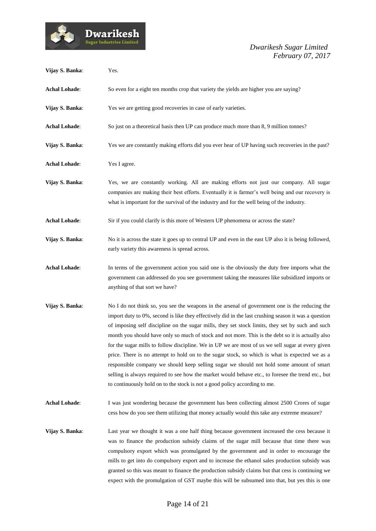

| Vijay S. Banka:      | Yes.                                                                                                                                                                                                                                                                                                                                                                                                                                                                                                                                                                                                                                                                                                                                                                                                                                                                                                   |
|----------------------|--------------------------------------------------------------------------------------------------------------------------------------------------------------------------------------------------------------------------------------------------------------------------------------------------------------------------------------------------------------------------------------------------------------------------------------------------------------------------------------------------------------------------------------------------------------------------------------------------------------------------------------------------------------------------------------------------------------------------------------------------------------------------------------------------------------------------------------------------------------------------------------------------------|
| <b>Achal Lohade:</b> | So even for a eight ten months crop that variety the yields are higher you are saying?                                                                                                                                                                                                                                                                                                                                                                                                                                                                                                                                                                                                                                                                                                                                                                                                                 |
| Vijay S. Banka:      | Yes we are getting good recoveries in case of early varieties.                                                                                                                                                                                                                                                                                                                                                                                                                                                                                                                                                                                                                                                                                                                                                                                                                                         |
| <b>Achal Lohade:</b> | So just on a theoretical basis then UP can produce much more than 8, 9 million tonnes?                                                                                                                                                                                                                                                                                                                                                                                                                                                                                                                                                                                                                                                                                                                                                                                                                 |
| Vijay S. Banka:      | Yes we are constantly making efforts did you ever hear of UP having such recoveries in the past?                                                                                                                                                                                                                                                                                                                                                                                                                                                                                                                                                                                                                                                                                                                                                                                                       |
| <b>Achal Lohade:</b> | Yes I agree.                                                                                                                                                                                                                                                                                                                                                                                                                                                                                                                                                                                                                                                                                                                                                                                                                                                                                           |
| Vijay S. Banka:      | Yes, we are constantly working. All are making efforts not just our company. All sugar<br>companies are making their best efforts. Eventually it is farmer's well being and our recovery is<br>what is important for the survival of the industry and for the well being of the industry.                                                                                                                                                                                                                                                                                                                                                                                                                                                                                                                                                                                                              |
| <b>Achal Lohade:</b> | Sir if you could clarify is this more of Western UP phenomena or across the state?                                                                                                                                                                                                                                                                                                                                                                                                                                                                                                                                                                                                                                                                                                                                                                                                                     |
| Vijay S. Banka:      | No it is across the state it goes up to central UP and even in the east UP also it is being followed,<br>early variety this awareness is spread across.                                                                                                                                                                                                                                                                                                                                                                                                                                                                                                                                                                                                                                                                                                                                                |
| <b>Achal Lohade:</b> | In terms of the government action you said one is the obviously the duty free imports what the<br>government can addressed do you see government taking the measures like subsidized imports or<br>anything of that sort we have?                                                                                                                                                                                                                                                                                                                                                                                                                                                                                                                                                                                                                                                                      |
| Vijay S. Banka:      | No I do not think so, you see the weapons in the arsenal of government one is the reducing the<br>import duty to 0%, second is like they effectively did in the last crushing season it was a question<br>of imposing self discipline on the sugar mills, they set stock limits, they set by such and such<br>month you should have only so much of stock and not more. This is the debt so it is actually also<br>for the sugar mills to follow discipline. We in UP we are most of us we sell sugar at every given<br>price. There is no attempt to hold on to the sugar stock, so which is what is expected we as a<br>responsible company we should keep selling sugar we should not hold some amount of smart<br>selling is always required to see how the market would behave etc., to foresee the trend etc., but<br>to continuously hold on to the stock is not a good policy according to me. |
| <b>Achal Lohade:</b> | I was just wondering because the government has been collecting almost 2500 Crores of sugar<br>cess how do you see them utilizing that money actually would this take any extreme measure?                                                                                                                                                                                                                                                                                                                                                                                                                                                                                                                                                                                                                                                                                                             |
| Vijay S. Banka:      | Last year we thought it was a one half thing because government increased the cess because it<br>was to finance the production subsidy claims of the sugar mill because that time there was<br>compulsory export which was promulgated by the government and in order to encourage the<br>mills to get into do compulsory export and to increase the ethanol sales production subsidy was<br>granted so this was meant to finance the production subsidy claims but that cess is continuing we<br>expect with the promulgation of GST maybe this will be subsumed into that, but yes this is one                                                                                                                                                                                                                                                                                                       |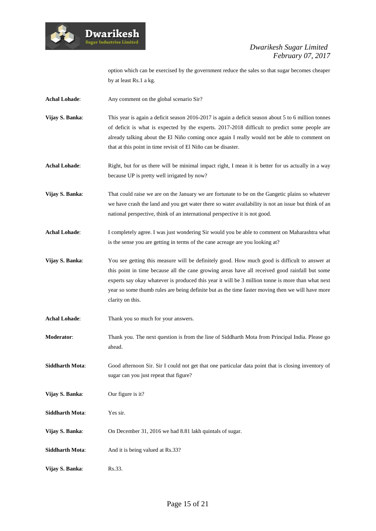

option which can be exercised by the government reduce the sales so that sugar becomes cheaper by at least Rs.1 a kg.

- Achal Lohade: Any comment on the global scenario Sir?
- **Vijay S. Banka:** This year is again a deficit season 2016-2017 is again a deficit season about 5 to 6 million tonnes of deficit is what is expected by the experts. 2017-2018 difficult to predict some people are already talking about the El Niño coming once again I really would not be able to comment on that at this point in time revisit of El Niño can be disaster.

**Achal Lohade:** Right, but for us there will be minimal impact right, I mean it is better for us actually in a way because UP is pretty well irrigated by now?

- **Vijay S. Banka**: That could raise we are on the January we are fortunate to be on the Gangetic plains so whatever we have crash the land and you get water there so water availability is not an issue but think of an national perspective, think of an international perspective it is not good.
- Achal Lohade: I completely agree. I was just wondering Sir would you be able to comment on Maharashtra what is the sense you are getting in terms of the cane acreage are you looking at?
- **Vijay S. Banka**: You see getting this measure will be definitely good. How much good is difficult to answer at this point in time because all the cane growing areas have all received good rainfall but some experts say okay whatever is produced this year it will be 3 million tonne is more than what next year so some thumb rules are being definite but as the time faster moving then we will have more clarity on this.
- **Achal Lohade**: Thank you so much for your answers.
- **Moderator**: Thank you. The next question is from the line of Siddharth Mota from Principal India. Please go ahead.
- **Siddharth Mota**: Good afternoon Sir. Sir I could not get that one particular data point that is closing inventory of sugar can you just repeat that figure?
- **Vijay S. Banka**: Our figure is it?
- **Siddharth Mota**: Yes sir.
- **Vijay S. Banka**: On December 31, 2016 we had 8.81 lakh quintals of sugar.
- **Siddharth Mota:** And it is being valued at Rs.33?
- **Vijay S. Banka:** Rs.33.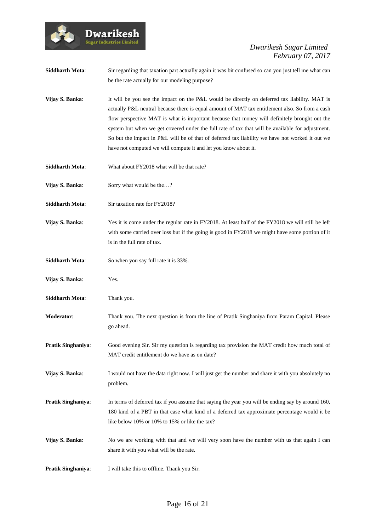

**Siddharth Mota:** Sir regarding that taxation part actually again it was bit confused so can you just tell me what can be the rate actually for our modeling purpose? **Vijay S. Banka:** It will be you see the impact on the P&L would be directly on deferred tax liability. MAT is actually P&L neutral because there is equal amount of MAT tax entitlement also. So from a cash flow perspective MAT is what is important because that money will definitely brought out the system but when we get covered under the full rate of tax that will be available for adjustment. So but the impact in P&L will be of that of deferred tax liability we have not worked it out we

have not computed we will compute it and let you know about it.

- **Siddharth Mota:** What about FY2018 what will be that rate?
- **Vijay S. Banka:** Sorry what would be the...?
- **Siddharth Mota:** Sir taxation rate for FY2018?
- **Vijay S. Banka:** Yes it is come under the regular rate in FY2018. At least half of the FY2018 we will still be left with some carried over loss but if the going is good in FY2018 we might have some portion of it is in the full rate of tax.
- **Siddharth Mota**: So when you say full rate it is 33%.
- **Vijay S. Banka**: Yes.
- **Siddharth Mota:** Thank you.
- **Moderator**: Thank you. The next question is from the line of Pratik Singhaniya from Param Capital. Please go ahead.
- **Pratik Singhaniya**: Good evening Sir. Sir my question is regarding tax provision the MAT credit how much total of MAT credit entitlement do we have as on date?
- **Vijay S. Banka:** I would not have the data right now. I will just get the number and share it with you absolutely no problem.
- **Pratik Singhaniya**: In terms of deferred tax if you assume that saying the year you will be ending say by around 160, 180 kind of a PBT in that case what kind of a deferred tax approximate percentage would it be like below 10% or 10% to 15% or like the tax?
- **Vijay S. Banka:** No we are working with that and we will very soon have the number with us that again I can share it with you what will be the rate.
- **Pratik Singhaniya:** I will take this to offline. Thank you Sir.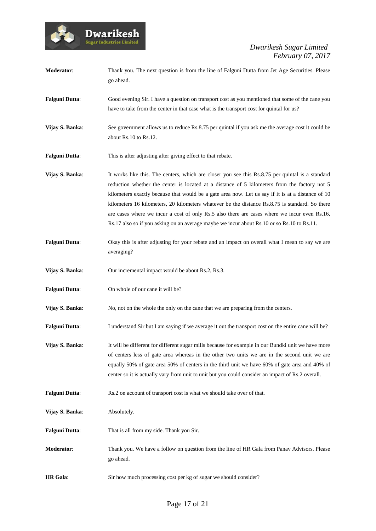

| Moderator:            | Thank you. The next question is from the line of Falguni Dutta from Jet Age Securities. Please<br>go ahead.                                                                                                                                                                                                                                                                                                                                                                                                                                                                                           |
|-----------------------|-------------------------------------------------------------------------------------------------------------------------------------------------------------------------------------------------------------------------------------------------------------------------------------------------------------------------------------------------------------------------------------------------------------------------------------------------------------------------------------------------------------------------------------------------------------------------------------------------------|
| <b>Falguni Dutta:</b> | Good evening Sir. I have a question on transport cost as you mentioned that some of the cane you<br>have to take from the center in that case what is the transport cost for quintal for us?                                                                                                                                                                                                                                                                                                                                                                                                          |
| Vijay S. Banka:       | See government allows us to reduce Rs.8.75 per quintal if you ask me the average cost it could be<br>about Rs.10 to Rs.12.                                                                                                                                                                                                                                                                                                                                                                                                                                                                            |
| <b>Falguni Dutta:</b> | This is after adjusting after giving effect to that rebate.                                                                                                                                                                                                                                                                                                                                                                                                                                                                                                                                           |
| Vijay S. Banka:       | It works like this. The centers, which are closer you see this Rs.8.75 per quintal is a standard<br>reduction whether the center is located at a distance of 5 kilometers from the factory not 5<br>kilometers exactly because that would be a gate area now. Let us say if it is at a distance of 10<br>kilometers 16 kilometers, 20 kilometers whatever be the distance Rs.8.75 is standard. So there<br>are cases where we incur a cost of only Rs.5 also there are cases where we incur even Rs.16,<br>Rs.17 also so if you asking on an average maybe we incur about Rs.10 or so Rs.10 to Rs.11. |
| <b>Falguni Dutta:</b> | Okay this is after adjusting for your rebate and an impact on overall what I mean to say we are<br>averaging?                                                                                                                                                                                                                                                                                                                                                                                                                                                                                         |
| Vijay S. Banka:       | Our incremental impact would be about Rs.2, Rs.3.                                                                                                                                                                                                                                                                                                                                                                                                                                                                                                                                                     |
| <b>Falguni Dutta:</b> | On whole of our cane it will be?                                                                                                                                                                                                                                                                                                                                                                                                                                                                                                                                                                      |
| Vijay S. Banka:       | No, not on the whole the only on the cane that we are preparing from the centers.                                                                                                                                                                                                                                                                                                                                                                                                                                                                                                                     |
| <b>Falguni Dutta:</b> | I understand Sir but I am saying if we average it out the transport cost on the entire cane will be?                                                                                                                                                                                                                                                                                                                                                                                                                                                                                                  |
| Vijay S. Banka:       | It will be different for different sugar mills because for example in our Bundki unit we have more<br>of centers less of gate area whereas in the other two units we are in the second unit we are<br>equally 50% of gate area 50% of centers in the third unit we have 60% of gate area and 40% of<br>center so it is actually vary from unit to unit but you could consider an impact of Rs.2 overall.                                                                                                                                                                                              |
| <b>Falguni Dutta:</b> | Rs.2 on account of transport cost is what we should take over of that.                                                                                                                                                                                                                                                                                                                                                                                                                                                                                                                                |
| Vijay S. Banka:       | Absolutely.                                                                                                                                                                                                                                                                                                                                                                                                                                                                                                                                                                                           |
| <b>Falguni Dutta:</b> | That is all from my side. Thank you Sir.                                                                                                                                                                                                                                                                                                                                                                                                                                                                                                                                                              |
| Moderator:            | Thank you. We have a follow on question from the line of HR Gala from Panav Advisors. Please<br>go ahead.                                                                                                                                                                                                                                                                                                                                                                                                                                                                                             |
| <b>HR</b> Gala:       | Sir how much processing cost per kg of sugar we should consider?                                                                                                                                                                                                                                                                                                                                                                                                                                                                                                                                      |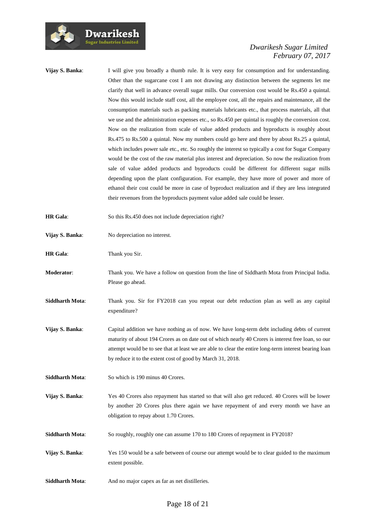

**Vijay S. Banka:** I will give you broadly a thumb rule. It is very easy for consumption and for understanding. Other than the sugarcane cost I am not drawing any distinction between the segments let me clarify that well in advance overall sugar mills. Our conversion cost would be Rs.450 a quintal. Now this would include staff cost, all the employee cost, all the repairs and maintenance, all the consumption materials such as packing materials lubricants etc., that process materials, all that we use and the administration expenses etc., so Rs.450 per quintal is roughly the conversion cost. Now on the realization from scale of value added products and byproducts is roughly about Rs.475 to Rs.500 a quintal. Now my numbers could go here and there by about Rs.25 a quintal, which includes power sale etc., etc. So roughly the interest so typically a cost for Sugar Company would be the cost of the raw material plus interest and depreciation. So now the realization from sale of value added products and byproducts could be different for different sugar mills depending upon the plant configuration. For example, they have more of power and more of ethanol their cost could be more in case of byproduct realization and if they are less integrated their revenues from the byproducts payment value added sale could be lesser. **HR Gala:** So this Rs.450 does not include depreciation right? **Vijay S. Banka**: No depreciation no interest. **HR Gala:** Thank you Sir. **Moderator**: Thank you. We have a follow on question from the line of Siddharth Mota from Principal India. Please go ahead. **Siddharth Mota**: Thank you. Sir for FY2018 can you repeat our debt reduction plan as well as any capital expenditure? **Vijay S. Banka**: Capital addition we have nothing as of now. We have long-term debt including debts of current maturity of about 194 Crores as on date out of which nearly 40 Crores is interest free loan, so our attempt would be to see that at least we are able to clear the entire long-term interest bearing loan by reduce it to the extent cost of good by March 31, 2018. **Siddharth Mota:** So which is 190 minus 40 Crores. **Vijay S. Banka**: Yes 40 Crores also repayment has started so that will also get reduced. 40 Crores will be lower by another 20 Crores plus there again we have repayment of and every month we have an obligation to repay about 1.70 Crores. **Siddharth Mota:** So roughly, roughly one can assume 170 to 180 Crores of repayment in FY2018? **Vijay S. Banka:** Yes 150 would be a safe between of course our attempt would be to clear guided to the maximum extent possible. **Siddharth Mota:** And no major capex as far as net distilleries.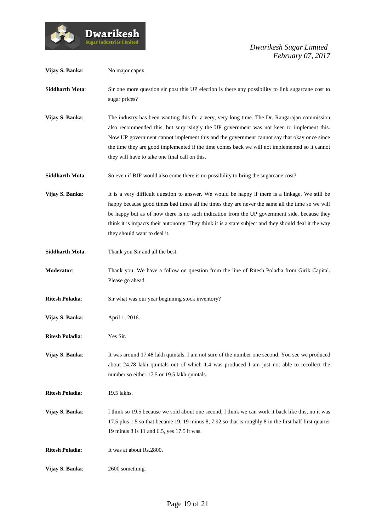

| Vijay S. Banka:        | No major capex.                                                                                                                                                                                                                                                                                                                                                                                                                             |
|------------------------|---------------------------------------------------------------------------------------------------------------------------------------------------------------------------------------------------------------------------------------------------------------------------------------------------------------------------------------------------------------------------------------------------------------------------------------------|
| <b>Siddharth Mota:</b> | Sir one more question sir post this UP election is there any possibility to link sugarcane cost to<br>sugar prices?                                                                                                                                                                                                                                                                                                                         |
| Vijay S. Banka:        | The industry has been wanting this for a very, very long time. The Dr. Rangarajan commission<br>also recommended this, but surprisingly the UP government was not keen to implement this.<br>Now UP government cannot implement this and the government cannot say that okay once since<br>the time they are good implemented if the time comes back we will not implemented so it cannot<br>they will have to take one final call on this. |
| <b>Siddharth Mota:</b> | So even if BJP would also come there is no possibility to bring the sugarcane cost?                                                                                                                                                                                                                                                                                                                                                         |
| Vijay S. Banka:        | It is a very difficult question to answer. We would be happy if there is a linkage. We still be<br>happy because good times bad times all the times they are never the same all the time so we will<br>be happy but as of now there is no such indication from the UP government side, because they<br>think it is impacts their autonomy. They think it is a state subject and they should deal it the way<br>they should want to deal it. |
| <b>Siddharth Mota:</b> | Thank you Sir and all the best.                                                                                                                                                                                                                                                                                                                                                                                                             |
| Moderator:             | Thank you. We have a follow on question from the line of Ritesh Poladia from Girik Capital.<br>Please go ahead.                                                                                                                                                                                                                                                                                                                             |
| <b>Ritesh Poladia:</b> | Sir what was our year beginning stock inventory?                                                                                                                                                                                                                                                                                                                                                                                            |
| Vijay S. Banka:        | April 1, 2016.                                                                                                                                                                                                                                                                                                                                                                                                                              |
| <b>Ritesh Poladia:</b> | Yes Sir.                                                                                                                                                                                                                                                                                                                                                                                                                                    |
| Vijay S. Banka:        | It was around 17.48 lakh quintals. I am not sure of the number one second. You see we produced<br>about 24.78 lakh quintals out of which 1.4 was produced I am just not able to recollect the<br>number so either 17.5 or 19.5 lakh quintals.                                                                                                                                                                                               |
| <b>Ritesh Poladia:</b> | 19.5 lakhs.                                                                                                                                                                                                                                                                                                                                                                                                                                 |
| Vijay S. Banka:        | I think so 19.5 because we sold about one second, I think we can work it back like this, no it was<br>17.5 plus 1.5 so that became 19, 19 minus 8, 7.92 so that is roughly 8 in the first half first quarter<br>19 minus 8 is 11 and 6.5, yes 17.5 it was.                                                                                                                                                                                  |
| <b>Ritesh Poladia:</b> | It was at about Rs.2800.                                                                                                                                                                                                                                                                                                                                                                                                                    |
| Vijay S. Banka:        | 2600 something.                                                                                                                                                                                                                                                                                                                                                                                                                             |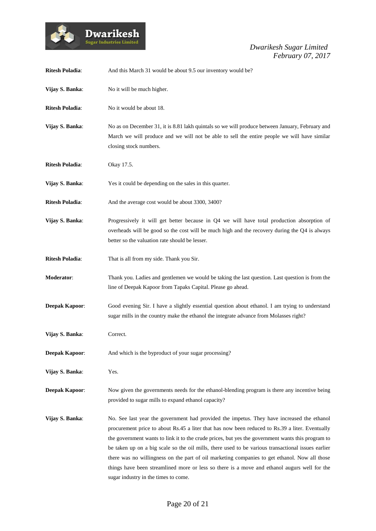

| <b>Ritesh Poladia:</b> | And this March 31 would be about 9.5 our inventory would be?                                                                                                                                                                                                                                                                                                                                                                                                                                                                                                                                                                                      |
|------------------------|---------------------------------------------------------------------------------------------------------------------------------------------------------------------------------------------------------------------------------------------------------------------------------------------------------------------------------------------------------------------------------------------------------------------------------------------------------------------------------------------------------------------------------------------------------------------------------------------------------------------------------------------------|
| Vijay S. Banka:        | No it will be much higher.                                                                                                                                                                                                                                                                                                                                                                                                                                                                                                                                                                                                                        |
| <b>Ritesh Poladia:</b> | No it would be about 18.                                                                                                                                                                                                                                                                                                                                                                                                                                                                                                                                                                                                                          |
| Vijay S. Banka:        | No as on December 31, it is 8.81 lakh quintals so we will produce between January, February and<br>March we will produce and we will not be able to sell the entire people we will have similar<br>closing stock numbers.                                                                                                                                                                                                                                                                                                                                                                                                                         |
| <b>Ritesh Poladia:</b> | Okay 17.5.                                                                                                                                                                                                                                                                                                                                                                                                                                                                                                                                                                                                                                        |
| Vijay S. Banka:        | Yes it could be depending on the sales in this quarter.                                                                                                                                                                                                                                                                                                                                                                                                                                                                                                                                                                                           |
| <b>Ritesh Poladia:</b> | And the average cost would be about 3300, 3400?                                                                                                                                                                                                                                                                                                                                                                                                                                                                                                                                                                                                   |
| Vijay S. Banka:        | Progressively it will get better because in Q4 we will have total production absorption of<br>overheads will be good so the cost will be much high and the recovery during the Q4 is always<br>better so the valuation rate should be lesser.                                                                                                                                                                                                                                                                                                                                                                                                     |
| <b>Ritesh Poladia:</b> | That is all from my side. Thank you Sir.                                                                                                                                                                                                                                                                                                                                                                                                                                                                                                                                                                                                          |
| Moderator:             | Thank you. Ladies and gentlemen we would be taking the last question. Last question is from the<br>line of Deepak Kapoor from Tapaks Capital. Please go ahead.                                                                                                                                                                                                                                                                                                                                                                                                                                                                                    |
| <b>Deepak Kapoor:</b>  | Good evening Sir. I have a slightly essential question about ethanol. I am trying to understand<br>sugar mills in the country make the ethanol the integrate advance from Molasses right?                                                                                                                                                                                                                                                                                                                                                                                                                                                         |
| Vijay S. Banka:        | Correct.                                                                                                                                                                                                                                                                                                                                                                                                                                                                                                                                                                                                                                          |
| <b>Deepak Kapoor:</b>  | And which is the byproduct of your sugar processing?                                                                                                                                                                                                                                                                                                                                                                                                                                                                                                                                                                                              |
| Vijay S. Banka:        | Yes.                                                                                                                                                                                                                                                                                                                                                                                                                                                                                                                                                                                                                                              |
| <b>Deepak Kapoor:</b>  | Now given the governments needs for the ethanol-blending program is there any incentive being<br>provided to sugar mills to expand ethanol capacity?                                                                                                                                                                                                                                                                                                                                                                                                                                                                                              |
| Vijay S. Banka:        | No. See last year the government had provided the impetus. They have increased the ethanol<br>procurement price to about Rs.45 a liter that has now been reduced to Rs.39 a liter. Eventually<br>the government wants to link it to the crude prices, but yes the government wants this program to<br>be taken up on a big scale so the oil mills, there used to be various transactional issues earlier<br>there was no willingness on the part of oil marketing companies to get ethanol. Now all those<br>things have been streamlined more or less so there is a move and ethanol augurs well for the<br>sugar industry in the times to come. |